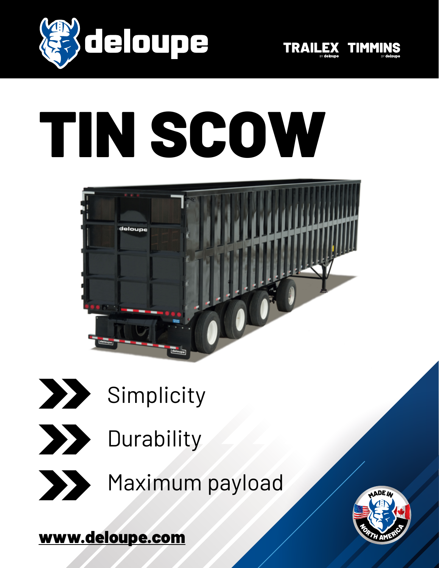



# TIN SCOW



- **Simplicity**
- **Durability** 
	-

Maximum payload

[www.deloupe.com](https://www.deloupe.com/en/index.php)

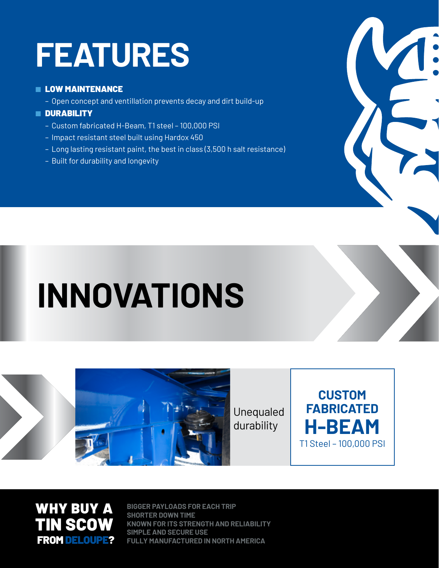### **FEATURES**

#### **E LOW MAINTENANCE**

– Open concept and ventillation prevents decay and dirt build-up

#### ■ DURABILITY

- Custom fabricated H-Beam, T1 steel 100,000 PSI
- Impact resistant steel built using Hardox 450
- Long lasting resistant paint, the best in class (3,500 h salt resistance)
- Built for durability and longevity

## **INNOVATIONS**



Unequaled durability





**BIGGER PAYLOADS FOR EACH TRIP SHORTER DOWN TIME KNOWN FOR ITS STRENGTH AND RELIABILITY SIMPLE AND SECURE USE FULLY MANUFACTURED IN NORTH AMERICA**

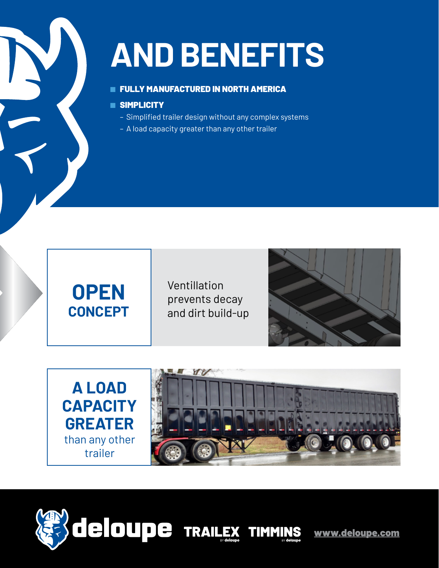### **AND BENEFITS**

#### **E FULLY MANUFACTURED IN NORTH AMERICA**

#### ■ SIMPLICITY

- Simplified trailer design without any complex systems
- A load capacity greater than any other trailer



Ventillation prevents decay and dirt build-up







[www.deloupe.com](https://www.deloupe.com/en/index.php)